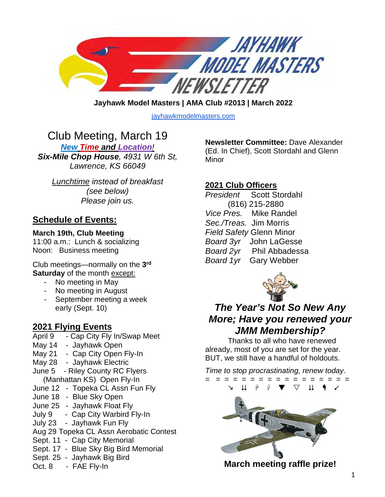

**Jayhawk Model Masters | AMA Club #2013 | March 2022** 

[jayhawkmodelmasters.com](http://jayhawkmodelmasters.com/)

# Club Meeting, March 19

*New Time and Location! Six-Mile Chop House, 4931 W 6th St, Lawrence, KS 66049*

*Lunchtime instead of breakfast (see below) Please join us.*

### **Schedule of Events:**

#### **March 19th, Club Meeting**

11:00 a.m.: Lunch & socializing Noon: Business meeting

Club meetings—normally on the **3rd Saturday** of the month except:

- No meeting in May
- No meeting in August
- September meeting a week early (Sept. 10)

# **2021 Flying Events**

- Cap City Fly In/Swap Meet
- May 14 Jayhawk Open
- May 21 Cap City Open Fly-In
- May 28 Jayhawk Electric
- June 5 Riley County RC Flyers (Manhattan KS) Open Fly-In
- June 12 Topeka CL Assn Fun Fly
- June 18 Blue Sky Open
- June 25 Jayhawk Float Fly
- July 9 Cap City Warbird Fly-In
- July 23 Jayhawk Fun Fly
- Aug 29 Topeka CL Assn Aerobatic Contest
- Sept. 11 Cap City Memorial
- Sept. 17 Blue Sky Big Bird Memorial
- Sept. 25 Jayhawk Big Bird
- Oct. 8 FAE Fly-In

**Newsletter Committee:** Dave Alexander (Ed. In Chief), Scott Stordahl and Glenn Minor

### **2021 Club Officers**

*President* Scott Stordahl (816) 215-2880 *Vice Pres.* Mike Randel *Sec./Treas.* Jim Morris *Field Safety* Glenn Minor *Board 3yr* John LaGesse *Board 2yr* Phil Abbadessa *Board 1yr* Gary Webber



## *The Year's Not So New Any More; Have you renewed your JMM Membership?*

Thanks to all who have renewed already, most of you are set for the year. BUT, we still have a handful of holdouts.

*Time to stop procrastinating, renew today*.



**March meeting raffle prize!**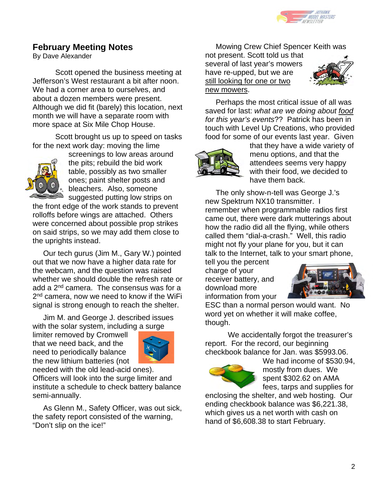

### **February Meeting Notes**

By Dave Alexander

 Scott opened the business meeting at Jefferson's West restaurant a bit after noon. We had a corner area to ourselves, and about a dozen members were present. Although we did fit (barely) this location, next month we will have a separate room with more space at Six Mile Chop House.

Scott brought us up to speed on tasks for the next work day: moving the lime



screenings to low areas around the pits; rebuild the bid work table, possibly as two smaller ones; paint shelter posts and bleachers. Also, someone suggested putting low strips on

the front edge of the work stands to prevent rolloffs before wings are attached. Others were concerned about possible prop strikes on said strips, so we may add them close to the uprights instead.

 Our tech gurus (Jim M., Gary W.) pointed out that we now have a higher data rate for the webcam, and the question was raised whether we should double the refresh rate or add a 2nd camera. The consensus was for a 2<sup>nd</sup> camera, now we need to know if the WiFi signal is strong enough to reach the shelter.

 Jim M. and George J. described issues with the solar system, including a surge

limiter removed by Cromwell that we need back, and the need to periodically balance the new lithium batteries (not



needed with the old lead-acid ones). Officers will look into the surge limiter and institute a schedule to check battery balance semi-annually.

 As Glenn M., Safety Officer, was out sick, the safety report consisted of the warning, "Don't slip on the ice!"

Mowing Crew Chief Spencer Keith was

not present. Scott told us that several of last year's mowers have re-upped, but we are still looking for one or two new mowers.



 Perhaps the most critical issue of all was saved for last: *what are we doing about food for this year's events*?? Patrick has been in touch with Level Up Creations, who provided food for some of our events last year. Given



that they have a wide variety of menu options, and that the attendees seems very happy with their food, we decided to have them back.

 The only show-n-tell was George J.'s new Spektrum NX10 transmitter. I remember when programmable radios first came out, there were dark mutterings about how the radio did all the flying, while others called them "dial-a-crash." Well, this radio might not fly your plane for you, but it can talk to the Internet, talk to your smart phone,

tell you the percent charge of your receiver battery, and download more information from your



ESC than a normal person would want. No word yet on whether it will make coffee, though.

We accidentally forgot the treasurer's report. For the record, our beginning checkbook balance for Jan. was \$5993.06.



We had income of \$530.94, mostly from dues. We spent \$302.62 on AMA fees, tarps and supplies for

enclosing the shelter, and web hosting. Our ending checkbook balance was \$6,221.38, which gives us a net worth with cash on hand of \$6,608.38 to start February.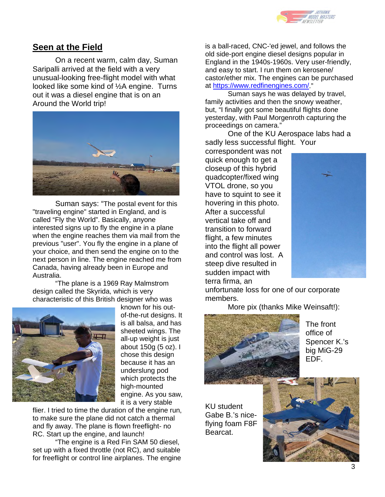

#### **Seen at the Field**

On a recent warm, calm day, Suman Saripalli arrived at the field with a very unusual-looking free-flight model with what looked like some kind of ½A engine. Turns out it was a diesel engine that is on an Around the World trip!



Suman says: "The postal event for this "traveling engine" started in England, and is called "Fly the World". Basically, anyone interested signs up to fly the engine in a plane when the engine reaches them via mail from the previous "user". You fly the engine in a plane of your choice, and then send the engine on to the next person in line. The engine reached me from Canada, having already been in Europe and Australia.

"The plane is a 1969 Ray Malmstrom design called the Skyrida, which is very characteristic of this British designer who was



known for his outof-the-rut designs. It is all balsa, and has sheeted wings. The all-up weight is just about 150g (5 oz). I chose this design because it has an underslung pod which protects the high-mounted engine. As you saw, it is a very stable

flier. I tried to time the duration of the engine run, to make sure the plane did not catch a thermal and fly away. The plane is flown freeflight- no RC. Start up the engine, and launch!

"The engine is a Red Fin SAM 50 diesel, set up with a fixed throttle (not RC), and suitable for freeflight or control line airplanes. The engine is a ball-raced, CNC-'ed jewel, and follows the old side-port engine diesel designs popular in England in the 1940s-1960s. Very user-friendly, and easy to start. I run them on kerosene/ castor/ether mix. The engines can be purchased at [https://www.redfinengines.com/.](https://nam10.safelinks.protection.outlook.com/?url=https%3A%2F%2Fwww.redfinengines.com%2F&data=04%7C01%7Cdalexander%40ku.edu%7C46f36182a82c4c22705608da07605ea3%7C3c176536afe643f5b96636feabbe3c1a%7C0%7C0%7C637830408966698262%7CUnknown%7CTWFpbGZsb3d8eyJWIjoiMC4wLjAwMDAiLCJQIjoiV2luMzIiLCJBTiI6Ik1haWwiLCJXVCI6Mn0%3D%7C3000&sdata=YOZuR%2FJeu7Hcj%2FwCS09tLjSSbtg1U01N07LTM532APM%3D&reserved=0)"

Suman says he was delayed by travel, family activities and then the snowy weather, but, "I finally got some beautiful flights done yesterday, with Paul Morgenroth capturing the proceedings on camera."

One of the KU Aerospace labs had a sadly less successful flight. Your

correspondent was not quick enough to get a closeup of this hybrid quadcopter/fixed wing VTOL drone, so you have to squint to see it hovering in this photo. After a successful vertical take off and transition to forward flight, a few minutes into the flight all power and control was lost. A steep dive resulted in sudden impact with terra firma, an



unfortunate loss for one of our corporate members.

More pix (thanks Mike Weinsaft!):



The front office of Spencer K.'s big MiG-29 EDF.

KU student Gabe B.'s niceflying foam F8F Bearcat.

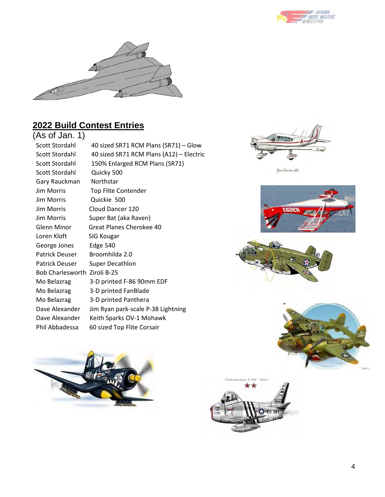



# **2022 Build Contest Entries**

| (As of Jan. 1)               |                                          |
|------------------------------|------------------------------------------|
| Scott Stordahl               | 40 sized SR71 RCM Plans (SR71) - Glow    |
| Scott Stordahl               | 40 sized SR71 RCM Plans (A12) - Electric |
| Scott Stordahl               | 150% Enlarged RCM Plans (SR71)           |
| Scott Stordahl               | Quicky 500                               |
| Gary Rauckman                | Northstar                                |
| <b>Jim Morris</b>            | <b>Top Flite Contender</b>               |
| <b>Jim Morris</b>            | Quickie 500                              |
| Jim Morris                   | Cloud Dancer 120                         |
| <b>Jim Morris</b>            | Super Bat (aka Raven)                    |
| Glenn Minor                  | Great Planes Cherokee 40                 |
| Loren Kloft                  | SIG Kougar                               |
| George Jones                 | <b>Edge 540</b>                          |
| Patrick Deuser               | Broomhilda 2.0                           |
| Patrick Deuser               | <b>Super Decathlon</b>                   |
| Bob Charlesworth Ziroli B-25 |                                          |
| Mo Belazrag                  | 3-D printed F-86 90mm EDF                |
| Mo Belazrag                  | 3-D printed FanBlade                     |
| Mo Belazrag                  | 3-D printed Panthera                     |
| Dave Alexander               | Jim Ryan park-scale P-38 Lightning       |
| Dave Alexander               | Keith Sparks OV-1 Mohawk                 |
| Phil Abbadessa               | 60 sized Top Flite Corsair               |
|                              |                                          |



Piper Charakee 180









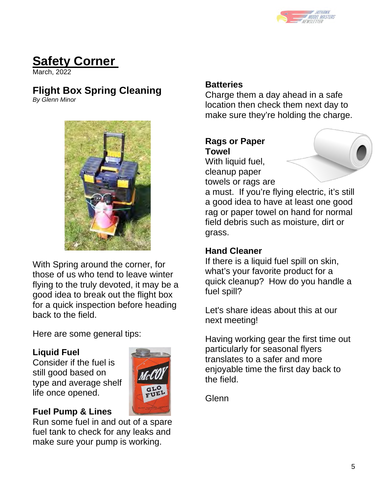

# **Safety Corner**

March, 2022

# **Flight Box Spring Cleaning**

*By Glenn Minor*



With Spring around the corner, for those of us who tend to leave winter flying to the truly devoted, it may be a good idea to break out the flight box for a quick inspection before heading back to the field.

Here are some general tips:

### **Liquid Fuel**

Consider if the fuel is still good based on type and average shelf life once opened.



## **Fuel Pump & Lines**

Run some fuel in and out of a spare fuel tank to check for any leaks and make sure your pump is working.

### **Batteries**

Charge them a day ahead in a safe location then check them next day to make sure they're holding the charge.

### **Rags or Paper Towel**

With liquid fuel, cleanup paper towels or rags are

a must. If you're flying electric, it's still a good idea to have at least one good rag or paper towel on hand for normal field debris such as moisture, dirt or grass.

### **Hand Cleaner**

If there is a liquid fuel spill on skin, what's your favorite product for a quick cleanup? How do you handle a fuel spill?

Let's share ideas about this at our next meeting!

Having working gear the first time out particularly for seasonal flyers translates to a safer and more enjoyable time the first day back to the field.

Glenn